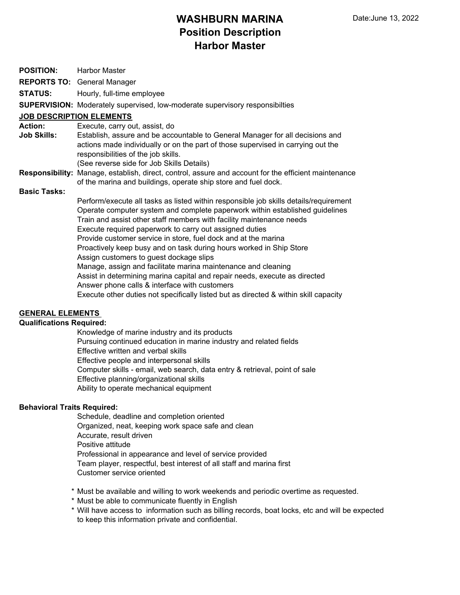# **WASHBURN MARINA Position Description Harbor Master**

| <b>POSITION:</b>                | <b>Harbor Master</b>                                                                                                                                                                                                                                                                                                                                                                                                                                                                                                                                                                                                                                                                                                                                                                 |
|---------------------------------|--------------------------------------------------------------------------------------------------------------------------------------------------------------------------------------------------------------------------------------------------------------------------------------------------------------------------------------------------------------------------------------------------------------------------------------------------------------------------------------------------------------------------------------------------------------------------------------------------------------------------------------------------------------------------------------------------------------------------------------------------------------------------------------|
|                                 | <b>REPORTS TO: General Manager</b>                                                                                                                                                                                                                                                                                                                                                                                                                                                                                                                                                                                                                                                                                                                                                   |
| <b>STATUS:</b>                  | Hourly, full-time employee                                                                                                                                                                                                                                                                                                                                                                                                                                                                                                                                                                                                                                                                                                                                                           |
|                                 | <b>SUPERVISION:</b> Moderately supervised, low-moderate supervisory responsibilties                                                                                                                                                                                                                                                                                                                                                                                                                                                                                                                                                                                                                                                                                                  |
| <b>JOB DESCRIPTION ELEMENTS</b> |                                                                                                                                                                                                                                                                                                                                                                                                                                                                                                                                                                                                                                                                                                                                                                                      |
| <b>Action:</b>                  | Execute, carry out, assist, do                                                                                                                                                                                                                                                                                                                                                                                                                                                                                                                                                                                                                                                                                                                                                       |
| Job Skills:                     | Establish, assure and be accountable to General Manager for all decisions and<br>actions made individually or on the part of those supervised in carrying out the<br>responsibilities of the job skills.<br>(See reverse side for Job Skills Details)                                                                                                                                                                                                                                                                                                                                                                                                                                                                                                                                |
|                                 | Responsibility: Manage, establish, direct, control, assure and account for the efficient maintenance<br>of the marina and buildings, operate ship store and fuel dock.                                                                                                                                                                                                                                                                                                                                                                                                                                                                                                                                                                                                               |
| <b>Basic Tasks:</b>             |                                                                                                                                                                                                                                                                                                                                                                                                                                                                                                                                                                                                                                                                                                                                                                                      |
|                                 | Perform/execute all tasks as listed within responsible job skills details/requirement<br>Operate computer system and complete paperwork within established guidelines<br>Train and assist other staff members with facility maintenance needs<br>Execute required paperwork to carry out assigned duties<br>Provide customer service in store, fuel dock and at the marina<br>Proactively keep busy and on task during hours worked in Ship Store<br>Assign customers to guest dockage slips<br>Manage, assign and facilitate marina maintenance and cleaning<br>Assist in determining marina capital and repair needs, execute as directed<br>Answer phone calls & interface with customers<br>Execute other duties not specifically listed but as directed & within skill capacity |

### **GENERAL ELEMENTS**

### **Qualifications Required:**

Knowledge of marine industry and its products Pursuing continued education in marine industry and related fields Effective written and verbal skills Effective people and interpersonal skills Computer skills - email, web search, data entry & retrieval, point of sale Effective planning/organizational skills Ability to operate mechanical equipment

### **Behavioral Traits Required:**

Schedule, deadline and completion oriented Organized, neat, keeping work space safe and clean Accurate, result driven Positive attitude Professional in appearance and level of service provided Team player, respectful, best interest of all staff and marina first Customer service oriented

- \* Must be available and willing to work weekends and periodic overtime as requested.
- \* Must be able to communicate fluently in English
- \* Will have access to information such as billing records, boat locks, etc and will be expected to keep this information private and confidential.